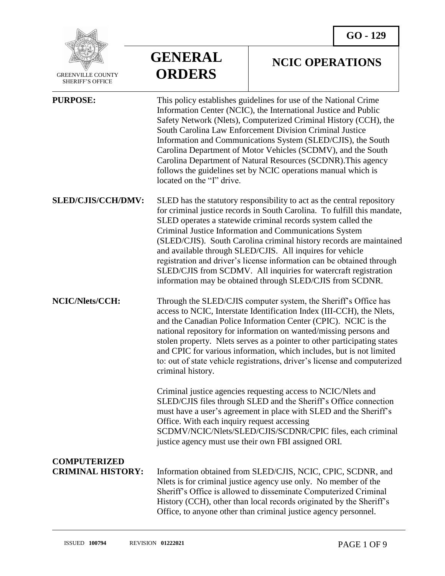

 GREENVILLE COUNTY SHERIFF'S OFFICE

# **GENERAL ORDERS**

### **NCIC OPERATIONS**

| <b>PURPOSE:</b>                                 | This policy establishes guidelines for use of the National Crime<br>Information Center (NCIC), the International Justice and Public<br>Safety Network (Nlets), Computerized Criminal History (CCH), the<br>South Carolina Law Enforcement Division Criminal Justice<br>Information and Communications System (SLED/CJIS), the South<br>Carolina Department of Motor Vehicles (SCDMV), and the South<br>Carolina Department of Natural Resources (SCDNR). This agency<br>follows the guidelines set by NCIC operations manual which is<br>located on the "I" drive.                                                        |
|-------------------------------------------------|---------------------------------------------------------------------------------------------------------------------------------------------------------------------------------------------------------------------------------------------------------------------------------------------------------------------------------------------------------------------------------------------------------------------------------------------------------------------------------------------------------------------------------------------------------------------------------------------------------------------------|
| <b>SLED/CJIS/CCH/DMV:</b>                       | SLED has the statutory responsibility to act as the central repository<br>for criminal justice records in South Carolina. To fulfill this mandate,<br>SLED operates a statewide criminal records system called the<br>Criminal Justice Information and Communications System<br>(SLED/CJIS). South Carolina criminal history records are maintained<br>and available through SLED/CJIS. All inquires for vehicle<br>registration and driver's license information can be obtained through<br>SLED/CJIS from SCDMV. All inquiries for watercraft registration<br>information may be obtained through SLED/CJIS from SCDNR. |
| NCIC/Nlets/CCH:                                 | Through the SLED/CJIS computer system, the Sheriff's Office has<br>access to NCIC, Interstate Identification Index (III-CCH), the Nlets,<br>and the Canadian Police Information Center (CPIC). NCIC is the<br>national repository for information on wanted/missing persons and<br>stolen property. Nlets serves as a pointer to other participating states<br>and CPIC for various information, which includes, but is not limited<br>to: out of state vehicle registrations, driver's license and computerized<br>criminal history.                                                                                     |
|                                                 | Criminal justice agencies requesting access to NCIC/Nlets and<br>SLED/CJIS files through SLED and the Sheriff's Office connection<br>must have a user's agreement in place with SLED and the Sheriff's<br>Office. With each inquiry request accessing<br>SCDMV/NCIC/Nlets/SLED/CJIS/SCDNR/CPIC files, each criminal<br>justice agency must use their own FBI assigned ORI.                                                                                                                                                                                                                                                |
| <b>COMPUTERIZED</b><br><b>CRIMINAL HISTORY:</b> | Information obtained from SLED/CJIS, NCIC, CPIC, SCDNR, and<br>Nets is for criminal justice agency use only. No member of the<br>Sheriff's Office is allowed to disseminate Computerized Criminal<br>History (CCH), other than local records originated by the Sheriff's<br>Office, to anyone other than criminal justice agency personnel.                                                                                                                                                                                                                                                                               |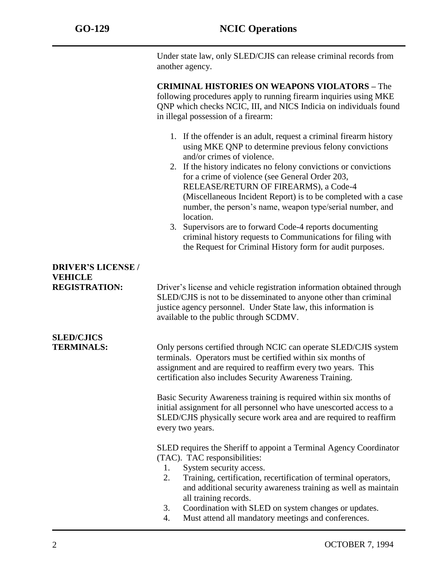Under state law, only SLED/CJIS can release criminal records from another agency.

**CRIMINAL HISTORIES ON WEAPONS VIOLATORS –** The following procedures apply to running firearm inquiries using MKE QNP which checks NCIC, III, and NICS Indicia on individuals found in illegal possession of a firearm:

- 1. If the offender is an adult, request a criminal firearm history using MKE QNP to determine previous felony convictions and/or crimes of violence.
- 2. If the history indicates no felony convictions or convictions for a crime of violence (see General Order 203, RELEASE/RETURN OF FIREARMS), a Code-4 (Miscellaneous Incident Report) is to be completed with a case number, the person's name, weapon type/serial number, and location.
- 3. Supervisors are to forward Code-4 reports documenting criminal history requests to Communications for filing with the Request for Criminal History form for audit purposes.

## **DRIVER'S LICENSE / VEHICLE**

**SLED/CJICS** 

**REGISTRATION:** Driver's license and vehicle registration information obtained through SLED/CJIS is not to be disseminated to anyone other than criminal justice agency personnel. Under State law, this information is available to the public through SCDMV.

**TERMINALS:** Only persons certified through NCIC can operate SLED/CJIS system terminals. Operators must be certified within six months of assignment and are required to reaffirm every two years. This certification also includes Security Awareness Training.

> Basic Security Awareness training is required within six months of initial assignment for all personnel who have unescorted access to a SLED/CJIS physically secure work area and are required to reaffirm every two years.

SLED requires the Sheriff to appoint a Terminal Agency Coordinator (TAC). TAC responsibilities:

- 1. System security access.
- 2. Training, certification, recertification of terminal operators, and additional security awareness training as well as maintain all training records.
- 3. Coordination with SLED on system changes or updates.
- 4. Must attend all mandatory meetings and conferences.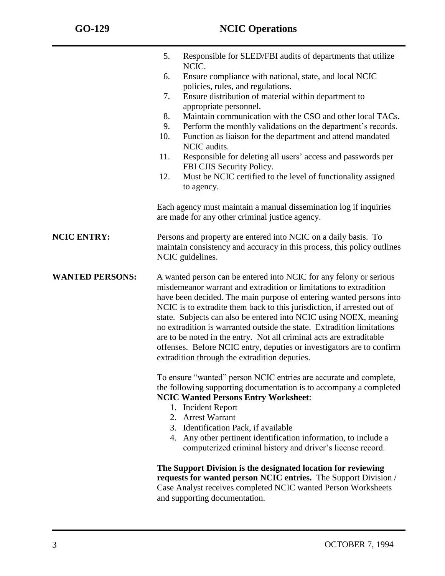|                        | Responsible for SLED/FBI audits of departments that utilize<br>5.<br>NCIC.                                                                                                                                                                                                                                                                                                                                                                                                                                                                                                                                                                 |
|------------------------|--------------------------------------------------------------------------------------------------------------------------------------------------------------------------------------------------------------------------------------------------------------------------------------------------------------------------------------------------------------------------------------------------------------------------------------------------------------------------------------------------------------------------------------------------------------------------------------------------------------------------------------------|
|                        | Ensure compliance with national, state, and local NCIC<br>6.<br>policies, rules, and regulations.                                                                                                                                                                                                                                                                                                                                                                                                                                                                                                                                          |
|                        | Ensure distribution of material within department to<br>7.<br>appropriate personnel.                                                                                                                                                                                                                                                                                                                                                                                                                                                                                                                                                       |
|                        | 8.<br>Maintain communication with the CSO and other local TACs.                                                                                                                                                                                                                                                                                                                                                                                                                                                                                                                                                                            |
|                        | Perform the monthly validations on the department's records.<br>9.                                                                                                                                                                                                                                                                                                                                                                                                                                                                                                                                                                         |
|                        | 10.<br>Function as liaison for the department and attend mandated<br>NCIC audits.                                                                                                                                                                                                                                                                                                                                                                                                                                                                                                                                                          |
|                        | 11.<br>Responsible for deleting all users' access and passwords per<br>FBI CJIS Security Policy.                                                                                                                                                                                                                                                                                                                                                                                                                                                                                                                                           |
|                        | 12.<br>Must be NCIC certified to the level of functionality assigned<br>to agency.                                                                                                                                                                                                                                                                                                                                                                                                                                                                                                                                                         |
|                        | Each agency must maintain a manual dissemination log if inquiries<br>are made for any other criminal justice agency.                                                                                                                                                                                                                                                                                                                                                                                                                                                                                                                       |
| <b>NCIC ENTRY:</b>     | Persons and property are entered into NCIC on a daily basis. To<br>maintain consistency and accuracy in this process, this policy outlines<br>NCIC guidelines.                                                                                                                                                                                                                                                                                                                                                                                                                                                                             |
| <b>WANTED PERSONS:</b> | A wanted person can be entered into NCIC for any felony or serious<br>misdemeanor warrant and extradition or limitations to extradition<br>have been decided. The main purpose of entering wanted persons into<br>NCIC is to extradite them back to this jurisdiction, if arrested out of<br>state. Subjects can also be entered into NCIC using NOEX, meaning<br>no extradition is warranted outside the state. Extradition limitations<br>are to be noted in the entry. Not all criminal acts are extraditable<br>offenses. Before NCIC entry, deputies or investigators are to confirm<br>extradition through the extradition deputies. |
|                        | To ensure "wanted" person NCIC entries are accurate and complete,<br>the following supporting documentation is to accompany a completed<br><b>NCIC Wanted Persons Entry Worksheet:</b><br>1. Incident Report                                                                                                                                                                                                                                                                                                                                                                                                                               |
|                        | 2. Arrest Warrant                                                                                                                                                                                                                                                                                                                                                                                                                                                                                                                                                                                                                          |
|                        | 3. Identification Pack, if available                                                                                                                                                                                                                                                                                                                                                                                                                                                                                                                                                                                                       |
|                        | 4. Any other pertinent identification information, to include a<br>computerized criminal history and driver's license record.                                                                                                                                                                                                                                                                                                                                                                                                                                                                                                              |
|                        | The Support Division is the designated location for reviewing<br>requests for wanted person NCIC entries. The Support Division /<br>Case Analyst receives completed NCIC wanted Person Worksheets<br>and supporting documentation.                                                                                                                                                                                                                                                                                                                                                                                                         |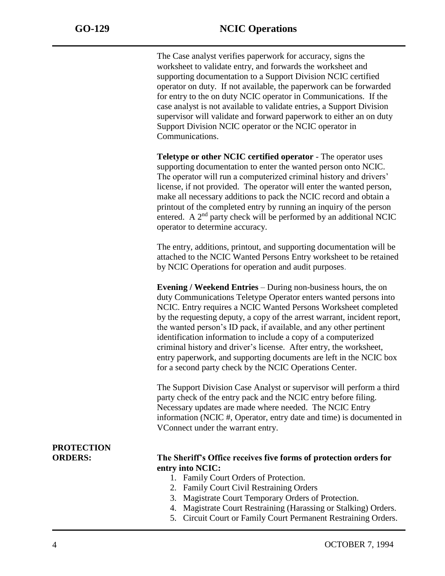The Case analyst verifies paperwork for accuracy, signs the worksheet to validate entry, and forwards the worksheet and supporting documentation to a Support Division NCIC certified operator on duty. If not available, the paperwork can be forwarded for entry to the on duty NCIC operator in Communications. If the case analyst is not available to validate entries, a Support Division supervisor will validate and forward paperwork to either an on duty Support Division NCIC operator or the NCIC operator in Communications.

**Teletype or other NCIC certified operator** - The operator uses supporting documentation to enter the wanted person onto NCIC. The operator will run a computerized criminal history and drivers' license, if not provided. The operator will enter the wanted person, make all necessary additions to pack the NCIC record and obtain a printout of the completed entry by running an inquiry of the person entered. A  $2<sup>nd</sup>$  party check will be performed by an additional NCIC operator to determine accuracy.

The entry, additions, printout, and supporting documentation will be attached to the NCIC Wanted Persons Entry worksheet to be retained by NCIC Operations for operation and audit purposes.

**Evening / Weekend Entries** – During non-business hours, the on duty Communications Teletype Operator enters wanted persons into NCIC. Entry requires a NCIC Wanted Persons Worksheet completed by the requesting deputy, a copy of the arrest warrant, incident report, the wanted person's ID pack, if available, and any other pertinent identification information to include a copy of a computerized criminal history and driver's license. After entry, the worksheet, entry paperwork, and supporting documents are left in the NCIC box for a second party check by the NCIC Operations Center.

The Support Division Case Analyst or supervisor will perform a third party check of the entry pack and the NCIC entry before filing. Necessary updates are made where needed. The NCIC Entry information (NCIC #, Operator, entry date and time) is documented in VConnect under the warrant entry.

# **PROTECTION**

#### **ORDERS: The Sheriff's Office receives five forms of protection orders for entry into NCIC:**

- 1. Family Court Orders of Protection.
- 2. Family Court Civil Restraining Orders
- 3. Magistrate Court Temporary Orders of Protection.
- 4. Magistrate Court Restraining (Harassing or Stalking) Orders.
- 5. Circuit Court or Family Court Permanent Restraining Orders.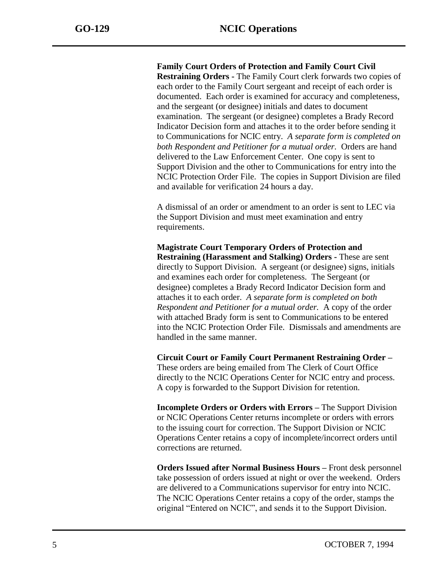**Family Court Orders of Protection and Family Court Civil Restraining Orders -** The Family Court clerk forwards two copies of each order to the Family Court sergeant and receipt of each order is documented. Each order is examined for accuracy and completeness, and the sergeant (or designee) initials and dates to document examination. The sergeant (or designee) completes a Brady Record Indicator Decision form and attaches it to the order before sending it to Communications for NCIC entry. *A separate form is completed on both Respondent and Petitioner for a mutual order.* Orders are hand delivered to the Law Enforcement Center. One copy is sent to Support Division and the other to Communications for entry into the NCIC Protection Order File. The copies in Support Division are filed and available for verification 24 hours a day.

A dismissal of an order or amendment to an order is sent to LEC via the Support Division and must meet examination and entry requirements.

**Magistrate Court Temporary Orders of Protection and Restraining (Harassment and Stalking) Orders -** These are sent directly to Support Division. A sergeant (or designee) signs, initials and examines each order for completeness. The Sergeant (or designee) completes a Brady Record Indicator Decision form and attaches it to each order. *A separate form is completed on both Respondent and Petitioner for a mutual order.* A copy of the order with attached Brady form is sent to Communications to be entered into the NCIC Protection Order File. Dismissals and amendments are handled in the same manner.

**Circuit Court or Family Court Permanent Restraining Order –** These orders are being emailed from The Clerk of Court Office directly to the NCIC Operations Center for NCIC entry and process. A copy is forwarded to the Support Division for retention.

**Incomplete Orders or Orders with Errors –** The Support Division or NCIC Operations Center returns incomplete or orders with errors to the issuing court for correction. The Support Division or NCIC Operations Center retains a copy of incomplete/incorrect orders until corrections are returned.

**Orders Issued after Normal Business Hours –** Front desk personnel take possession of orders issued at night or over the weekend. Orders are delivered to a Communications supervisor for entry into NCIC. The NCIC Operations Center retains a copy of the order, stamps the original "Entered on NCIC", and sends it to the Support Division.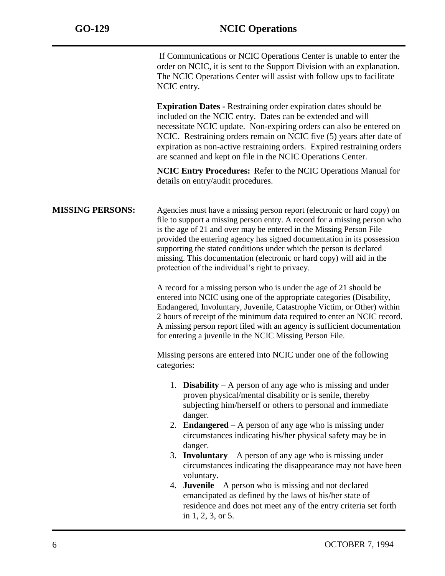If Communications or NCIC Operations Center is unable to enter the order on NCIC, it is sent to the Support Division with an explanation. The NCIC Operations Center will assist with follow ups to facilitate NCIC entry.

**Expiration Dates -** Restraining order expiration dates should be included on the NCIC entry. Dates can be extended and will necessitate NCIC update. Non-expiring orders can also be entered on NCIC. Restraining orders remain on NCIC five (5) years after date of expiration as non-active restraining orders. Expired restraining orders are scanned and kept on file in the NCIC Operations Center.

**NCIC Entry Procedures:** Refer to the NCIC Operations Manual for details on entry/audit procedures.

**MISSING PERSONS:** Agencies must have a missing person report (electronic or hard copy) on file to support a missing person entry. A record for a missing person who is the age of 21 and over may be entered in the Missing Person File provided the entering agency has signed documentation in its possession supporting the stated conditions under which the person is declared missing. This documentation (electronic or hard copy) will aid in the protection of the individual's right to privacy.

> A record for a missing person who is under the age of 21 should be entered into NCIC using one of the appropriate categories (Disability, Endangered, Involuntary, Juvenile, Catastrophe Victim, or Other) within 2 hours of receipt of the minimum data required to enter an NCIC record. A missing person report filed with an agency is sufficient documentation for entering a juvenile in the NCIC Missing Person File.

Missing persons are entered into NCIC under one of the following categories:

- 1. **Disability** A person of any age who is missing and under proven physical/mental disability or is senile, thereby subjecting him/herself or others to personal and immediate danger.
- 2. **Endangered** A person of any age who is missing under circumstances indicating his/her physical safety may be in danger.
- 3. **Involuntary** A person of any age who is missing under circumstances indicating the disappearance may not have been voluntary.
- 4. **Juvenile** A person who is missing and not declared emancipated as defined by the laws of his/her state of residence and does not meet any of the entry criteria set forth in 1, 2, 3, or 5.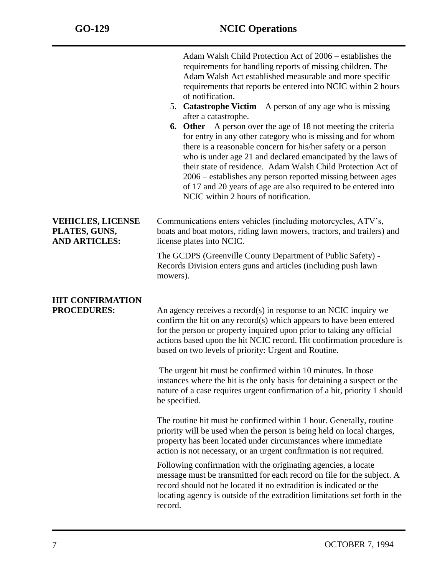|                                                                   | Adam Walsh Child Protection Act of 2006 – establishes the<br>requirements for handling reports of missing children. The<br>Adam Walsh Act established measurable and more specific<br>requirements that reports be entered into NCIC within 2 hours<br>of notification.<br>5. <b>Catastrophe Victim</b> $- A$ person of any age who is missing<br>after a catastrophe.<br><b>6.</b> Other – A person over the age of 18 not meeting the criteria<br>for entry in any other category who is missing and for whom<br>there is a reasonable concern for his/her safety or a person<br>who is under age 21 and declared emancipated by the laws of<br>their state of residence. Adam Walsh Child Protection Act of<br>2006 – establishes any person reported missing between ages<br>of 17 and 20 years of age are also required to be entered into<br>NCIC within 2 hours of notification. |
|-------------------------------------------------------------------|-----------------------------------------------------------------------------------------------------------------------------------------------------------------------------------------------------------------------------------------------------------------------------------------------------------------------------------------------------------------------------------------------------------------------------------------------------------------------------------------------------------------------------------------------------------------------------------------------------------------------------------------------------------------------------------------------------------------------------------------------------------------------------------------------------------------------------------------------------------------------------------------|
| <b>VEHICLES, LICENSE</b><br>PLATES, GUNS,<br><b>AND ARTICLES:</b> | Communications enters vehicles (including motorcycles, ATV's,<br>boats and boat motors, riding lawn mowers, tractors, and trailers) and<br>license plates into NCIC.                                                                                                                                                                                                                                                                                                                                                                                                                                                                                                                                                                                                                                                                                                                    |
|                                                                   | The GCDPS (Greenville County Department of Public Safety) -<br>Records Division enters guns and articles (including push lawn<br>mowers).                                                                                                                                                                                                                                                                                                                                                                                                                                                                                                                                                                                                                                                                                                                                               |
| <b>HIT CONFIRMATION</b><br><b>PROCEDURES:</b>                     | An agency receives a record(s) in response to an NCIC inquiry we<br>confirm the hit on any record(s) which appears to have been entered<br>for the person or property inquired upon prior to taking any official<br>actions based upon the hit NCIC record. Hit confirmation procedure is<br>based on two levels of priority: Urgent and Routine.<br>The urgent hit must be confirmed within 10 minutes. In those                                                                                                                                                                                                                                                                                                                                                                                                                                                                       |
|                                                                   | instances where the hit is the only basis for detaining a suspect or the<br>nature of a case requires urgent confirmation of a hit, priority 1 should<br>be specified.                                                                                                                                                                                                                                                                                                                                                                                                                                                                                                                                                                                                                                                                                                                  |
|                                                                   | The routine hit must be confirmed within 1 hour. Generally, routine<br>priority will be used when the person is being held on local charges,<br>property has been located under circumstances where immediate<br>action is not necessary, or an urgent confirmation is not required.                                                                                                                                                                                                                                                                                                                                                                                                                                                                                                                                                                                                    |
|                                                                   | Following confirmation with the originating agencies, a locate<br>message must be transmitted for each record on file for the subject. A<br>record should not be located if no extradition is indicated or the<br>locating agency is outside of the extradition limitations set forth in the<br>record.                                                                                                                                                                                                                                                                                                                                                                                                                                                                                                                                                                                 |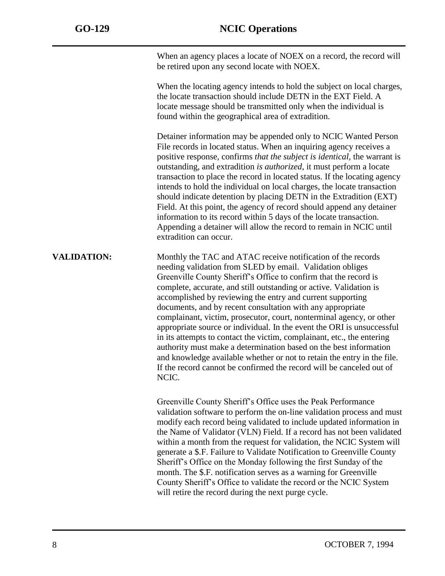When an agency places a locate of NOEX on a record, the record will be retired upon any second locate with NOEX.

When the locating agency intends to hold the subject on local charges, the locate transaction should include DETN in the EXT Field. A locate message should be transmitted only when the individual is found within the geographical area of extradition.

Detainer information may be appended only to NCIC Wanted Person File records in located status. When an inquiring agency receives a positive response, confirms *that the subject is identical,* the warrant is outstanding, and extradition *is authorized*, it must perform a locate transaction to place the record in located status. If the locating agency intends to hold the individual on local charges, the locate transaction should indicate detention by placing DETN in the Extradition (EXT) Field. At this point, the agency of record should append any detainer information to its record within 5 days of the locate transaction. Appending a detainer will allow the record to remain in NCIC until extradition can occur.

**VALIDATION:** Monthly the TAC and ATAC receive notification of the records needing validation from SLED by email. Validation obliges Greenville County Sheriff's Office to confirm that the record is complete, accurate, and still outstanding or active. Validation is accomplished by reviewing the entry and current supporting documents, and by recent consultation with any appropriate complainant, victim, prosecutor, court, nonterminal agency, or other appropriate source or individual. In the event the ORI is unsuccessful in its attempts to contact the victim, complainant, etc., the entering authority must make a determination based on the best information and knowledge available whether or not to retain the entry in the file. If the record cannot be confirmed the record will be canceled out of NCIC.

> Greenville County Sheriff's Office uses the Peak Performance validation software to perform the on-line validation process and must modify each record being validated to include updated information in the Name of Validator (VLN) Field. If a record has not been validated within a month from the request for validation, the NCIC System will generate a \$.F. Failure to Validate Notification to Greenville County Sheriff's Office on the Monday following the first Sunday of the month. The \$.F. notification serves as a warning for Greenville County Sheriff's Office to validate the record or the NCIC System will retire the record during the next purge cycle.